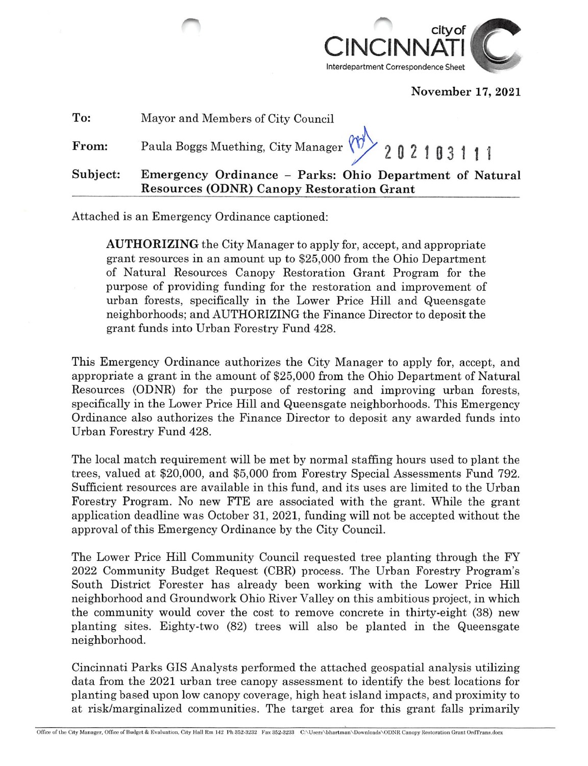

November 17, 2021

| To:      | Mayor and Members of City Council                                                                           |
|----------|-------------------------------------------------------------------------------------------------------------|
| From:    | Paula Boggs Muething, City Manager (1) 202103111                                                            |
| Subject: | Emergency Ordinance - Parks: Ohio Department of Natural<br><b>Resources (ODNR) Canopy Restoration Grant</b> |

Attached is an Emergency Ordinance captioned:

AUTHORIZING the City Manager to apply for, accept, and appropriate grant resources in an amount up to \$25,000 from the Ohio Department of Natural Resources Canopy Restoration Grant Program for the purpose of providing funding for the restoration and improvement of urban forests, specifically in the Lower Price Hill and Queensgate neighborhoods; and AUTHORIZING the Finance Director to deposit the grant funds into Urban Forestry Fund 428.

This Emergency Ordinance authorizes the City Manager to apply for, accept, and appropriate a grant in the amount of \$25,000 from the Ohio Department of Natural Resources (ODNR) for the purpose of restoring and improving urban forests, specifically in the Lower Price Hill and Queensgate neighborhoods. This Emergency Ordinance also authorizes the Finance Director to deposit any awarded funds into Urban Forestry Fund 428.

The local match requirement will be met by normal staffing hours used to plant the trees, valued at \$20,000, and \$5,000 from Forestry Special Assessments Fund 792. Sufficient resources are available in this fund, and its uses are limited to the Urban Forestry Program. No new FTE are associated with the grant. While the grant application deadline was October 31, 2021, funding will not be accepted without the approval of this Emergency Ordinance by the City Council.

The Lower Price Hill Community Council requested tree planting through the FY 2022 Community Budget Request (CBR) process. The Urban Forestry Program's South District Forester has already been working with the Lower Price HiU neighborhood and Groundwork Ohio River Valley on this ambitious project, in which the community would cover the cost to remove concrete in thirty-eight (38) new planting sites. Eighty-two (82) trees will also be planted in the Queensgate neighborhood.

Cincinnati Parks GIS Analysts performed the attached geospatial analysis utilizing data from the 2021 urban tree canopy assessment to identify the best locations for planting based upon low canopy coverage, high heat island impacts, and proximity to at risk/marginalized communities. The target area for this grant falls primarily